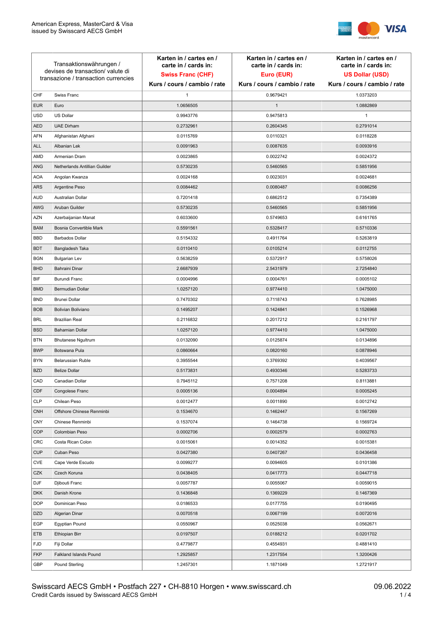

| Transaktionswährungen /<br>devises de transaction/valute di<br>transazione / transaction currencies |                               | Karten in / cartes en /<br>carte in / cards in:<br><b>Swiss Franc (CHF)</b><br>Kurs / cours / cambio / rate | Karten in / cartes en /<br>carte in / cards in:<br>Euro (EUR)<br>Kurs / cours / cambio / rate | Karten in / cartes en /<br>carte in / cards in:<br><b>US Dollar (USD)</b><br>Kurs / cours / cambio / rate |
|-----------------------------------------------------------------------------------------------------|-------------------------------|-------------------------------------------------------------------------------------------------------------|-----------------------------------------------------------------------------------------------|-----------------------------------------------------------------------------------------------------------|
|                                                                                                     |                               |                                                                                                             |                                                                                               |                                                                                                           |
| CHF                                                                                                 | Swiss Franc                   | 1                                                                                                           | 0.9679421                                                                                     | 1.0373203                                                                                                 |
| <b>EUR</b>                                                                                          | Euro                          | 1.0656505                                                                                                   | $\mathbf{1}$                                                                                  | 1.0882869                                                                                                 |
| <b>USD</b>                                                                                          | US Dollar                     | 0.9943776                                                                                                   | 0.9475813                                                                                     | $\mathbf{1}$                                                                                              |
| <b>AED</b>                                                                                          | <b>UAE Dirham</b>             | 0.2732961                                                                                                   | 0.2604345                                                                                     | 0.2791014                                                                                                 |
| <b>AFN</b>                                                                                          | Afghanistan Afghani           | 0.0115769                                                                                                   | 0.0110321                                                                                     | 0.0118228                                                                                                 |
| ALL                                                                                                 | Albanian Lek                  | 0.0091963                                                                                                   | 0.0087635                                                                                     | 0.0093916                                                                                                 |
| AMD                                                                                                 | Armenian Dram                 | 0.0023865                                                                                                   | 0.0022742                                                                                     | 0.0024372                                                                                                 |
| ANG                                                                                                 | Netherlands Antillian Guilder | 0.5730235                                                                                                   | 0.5460565                                                                                     | 0.5851956                                                                                                 |
| <b>AOA</b>                                                                                          | Angolan Kwanza                | 0.0024168                                                                                                   | 0.0023031                                                                                     | 0.0024681                                                                                                 |
| ARS                                                                                                 | Argentine Peso                | 0.0084462                                                                                                   | 0.0080487                                                                                     | 0.0086256                                                                                                 |
| <b>AUD</b>                                                                                          | Australian Dollar             | 0.7201418                                                                                                   | 0.6862512                                                                                     | 0.7354389                                                                                                 |
| AWG                                                                                                 | Aruban Guilder                | 0.5730235                                                                                                   | 0.5460565                                                                                     | 0.5851956                                                                                                 |
| AZN                                                                                                 | Azerbaijanian Manat           | 0.6033600                                                                                                   | 0.5749653                                                                                     | 0.6161765                                                                                                 |
| <b>BAM</b>                                                                                          | Bosnia Convertible Mark       | 0.5591561                                                                                                   | 0.5328417                                                                                     | 0.5710336                                                                                                 |
| <b>BBD</b>                                                                                          | <b>Barbados Dollar</b>        | 0.5154332                                                                                                   | 0.4911764                                                                                     | 0.5263819                                                                                                 |
| <b>BDT</b>                                                                                          | Bangladesh Taka               | 0.0110410                                                                                                   | 0.0105214                                                                                     | 0.0112755                                                                                                 |
| <b>BGN</b>                                                                                          | <b>Bulgarian Lev</b>          | 0.5638259                                                                                                   | 0.5372917                                                                                     | 0.5758026                                                                                                 |
| <b>BHD</b>                                                                                          | Bahraini Dinar                | 2.6687939                                                                                                   | 2.5431979                                                                                     | 2.7254840                                                                                                 |
| BIF                                                                                                 | Burundi Franc                 | 0.0004996                                                                                                   | 0.0004761                                                                                     | 0.0005102                                                                                                 |
| <b>BMD</b>                                                                                          | Bermudian Dollar              | 1.0257120                                                                                                   | 0.9774410                                                                                     | 1.0475000                                                                                                 |
| <b>BND</b>                                                                                          | <b>Brunei Dollar</b>          | 0.7470302                                                                                                   | 0.7118743                                                                                     | 0.7628985                                                                                                 |
| <b>BOB</b>                                                                                          | Bolivian Boliviano            | 0.1495207                                                                                                   | 0.1424841                                                                                     | 0.1526968                                                                                                 |
| <b>BRL</b>                                                                                          | <b>Brazilian Real</b>         | 0.2116832                                                                                                   | 0.2017212                                                                                     | 0.2161797                                                                                                 |
| <b>BSD</b>                                                                                          | <b>Bahamian Dollar</b>        | 1.0257120                                                                                                   | 0.9774410                                                                                     | 1.0475000                                                                                                 |
| <b>BTN</b>                                                                                          | <b>Bhutanese Ngultrum</b>     | 0.0132090                                                                                                   | 0.0125874                                                                                     | 0.0134896                                                                                                 |
| <b>BWP</b>                                                                                          | Botswana Pula                 | 0.0860664                                                                                                   | 0.0820160                                                                                     | 0.0878946                                                                                                 |
| <b>BYN</b>                                                                                          | Belarussian Ruble             | 0.3955544                                                                                                   | 0.3769392                                                                                     | 0.4039567                                                                                                 |
| <b>BZD</b>                                                                                          | <b>Belize Dollar</b>          | 0.5173831                                                                                                   | 0.4930346                                                                                     | 0.5283733                                                                                                 |
| CAD                                                                                                 | Canadian Dollar               | 0.7945112                                                                                                   | 0.7571208                                                                                     | 0.8113881                                                                                                 |
| CDF                                                                                                 | Congolese Franc               | 0.0005136                                                                                                   | 0.0004894                                                                                     | 0.0005245                                                                                                 |
| <b>CLP</b>                                                                                          | Chilean Peso                  | 0.0012477                                                                                                   | 0.0011890                                                                                     | 0.0012742                                                                                                 |
| <b>CNH</b>                                                                                          | Offshore Chinese Renminbi     | 0.1534670                                                                                                   | 0.1462447                                                                                     | 0.1567269                                                                                                 |
| <b>CNY</b>                                                                                          | Chinese Renminbi              | 0.1537074                                                                                                   | 0.1464738                                                                                     | 0.1569724                                                                                                 |
| <b>COP</b>                                                                                          | Colombian Peso                | 0.0002706                                                                                                   | 0.0002579                                                                                     | 0.0002763                                                                                                 |
| CRC                                                                                                 | Costa Rican Colon             | 0.0015061                                                                                                   | 0.0014352                                                                                     | 0.0015381                                                                                                 |
| <b>CUP</b>                                                                                          | Cuban Peso                    | 0.0427380                                                                                                   | 0.0407267                                                                                     | 0.0436458                                                                                                 |
| CVE                                                                                                 | Cape Verde Escudo             | 0.0099277                                                                                                   | 0.0094605                                                                                     | 0.0101386                                                                                                 |
| CZK                                                                                                 | Czech Koruna                  | 0.0438405                                                                                                   | 0.0417773                                                                                     | 0.0447718                                                                                                 |
| <b>DJF</b>                                                                                          | Djibouti Franc                | 0.0057787                                                                                                   | 0.0055067                                                                                     | 0.0059015                                                                                                 |
| <b>DKK</b>                                                                                          | Danish Krone                  | 0.1436848                                                                                                   | 0.1369229                                                                                     | 0.1467369                                                                                                 |
| <b>DOP</b>                                                                                          | Dominican Peso                | 0.0186533                                                                                                   | 0.0177755                                                                                     | 0.0190495                                                                                                 |
| <b>DZD</b>                                                                                          | Algerian Dinar                | 0.0070518                                                                                                   | 0.0067199                                                                                     | 0.0072016                                                                                                 |
| EGP                                                                                                 | Egyptian Pound                | 0.0550967                                                                                                   | 0.0525038                                                                                     | 0.0562671                                                                                                 |
| ETB                                                                                                 | Ethiopian Birr                | 0.0197507                                                                                                   | 0.0188212                                                                                     | 0.0201702                                                                                                 |
| <b>FJD</b>                                                                                          | Fiji Dollar                   | 0.4779877                                                                                                   | 0.4554931                                                                                     | 0.4881410                                                                                                 |
| <b>FKP</b>                                                                                          | Falkland Islands Pound        | 1.2925857                                                                                                   | 1.2317554                                                                                     | 1.3200426                                                                                                 |
| GBP                                                                                                 | Pound Sterling                | 1.2457301                                                                                                   | 1.1871049                                                                                     | 1.2721917                                                                                                 |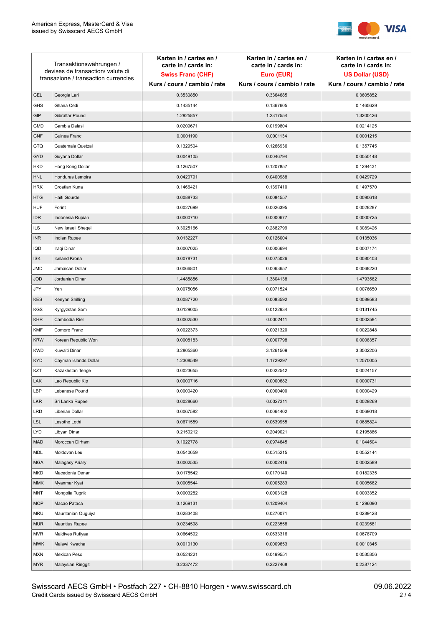

| Transaktionswährungen /<br>devises de transaction/valute di |                                      | Karten in / cartes en /<br>carte in / cards in: | Karten in / cartes en /<br>carte in / cards in: | Karten in / cartes en /<br>carte in / cards in: |
|-------------------------------------------------------------|--------------------------------------|-------------------------------------------------|-------------------------------------------------|-------------------------------------------------|
|                                                             |                                      | <b>Swiss Franc (CHF)</b>                        | Euro (EUR)                                      | <b>US Dollar (USD)</b>                          |
|                                                             | transazione / transaction currencies | Kurs / cours / cambio / rate                    | Kurs / cours / cambio / rate                    | Kurs / cours / cambio / rate                    |
| <b>GEL</b>                                                  | Georgia Lari                         | 0.3530850                                       | 0.3364685                                       | 0.3605852                                       |
| <b>GHS</b>                                                  | Ghana Cedi                           | 0.1435144                                       | 0.1367605                                       | 0.1465629                                       |
| GIP                                                         | Gibraltar Pound                      | 1.2925857                                       | 1.2317554                                       | 1.3200426                                       |
| <b>GMD</b>                                                  | Gambia Dalasi                        | 0.0209671                                       | 0.0199804                                       | 0.0214125                                       |
| <b>GNF</b>                                                  | Guinea Franc                         | 0.0001190                                       | 0.0001134                                       | 0.0001215                                       |
| <b>GTQ</b>                                                  | Guatemala Quetzal                    | 0.1329504                                       | 0.1266936                                       | 0.1357745                                       |
| GYD                                                         | Guyana Dollar                        | 0.0049105                                       | 0.0046794                                       | 0.0050148                                       |
| HKD                                                         | Hong Kong Dollar                     | 0.1267507                                       | 0.1207857                                       | 0.1294431                                       |
| <b>HNL</b>                                                  | Honduras Lempira                     | 0.0420791                                       | 0.0400988                                       | 0.0429729                                       |
| <b>HRK</b>                                                  | Croatian Kuna                        | 0.1466421                                       | 0.1397410                                       | 0.1497570                                       |
| <b>HTG</b>                                                  | Haiti Gourde                         | 0.0088733                                       | 0.0084557                                       | 0.0090618                                       |
| <b>HUF</b>                                                  | Forint                               | 0.0027699                                       | 0.0026395                                       | 0.0028287                                       |
| <b>IDR</b>                                                  | Indonesia Rupiah                     | 0.0000710                                       | 0.0000677                                       | 0.0000725                                       |
| <b>ILS</b>                                                  | New Israeli Sheqel                   | 0.3025166                                       | 0.2882799                                       | 0.3089426                                       |
| <b>INR</b>                                                  | Indian Rupee                         | 0.0132227                                       | 0.0126004                                       | 0.0135036                                       |
| IQD                                                         | Iraqi Dinar                          | 0.0007025                                       | 0.0006694                                       | 0.0007174                                       |
| <b>ISK</b>                                                  | <b>Iceland Krona</b>                 | 0.0078731                                       | 0.0075026                                       | 0.0080403                                       |
| <b>JMD</b>                                                  | Jamaican Dollar                      | 0.0066801                                       | 0.0063657                                       | 0.0068220                                       |
| <b>JOD</b>                                                  | Jordanian Dinar                      | 1.4485856                                       | 1.3804138                                       | 1.4793562                                       |
| JPY                                                         | Yen                                  | 0.0075056                                       | 0.0071524                                       | 0.0076650                                       |
| <b>KES</b>                                                  | Kenyan Shilling                      | 0.0087720                                       | 0.0083592                                       | 0.0089583                                       |
| <b>KGS</b>                                                  | Kyrgyzstan Som                       | 0.0129005                                       | 0.0122934                                       | 0.0131745                                       |
| <b>KHR</b>                                                  | Cambodia Riel                        | 0.0002530                                       | 0.0002411                                       | 0.0002584                                       |
| <b>KMF</b>                                                  | Comoro Franc                         | 0.0022373                                       | 0.0021320                                       | 0.0022848                                       |
| <b>KRW</b>                                                  | Korean Republic Won                  | 0.0008183                                       | 0.0007798                                       | 0.0008357                                       |
| <b>KWD</b>                                                  | Kuwaiti Dinar                        | 3.2805360                                       | 3.1261509                                       | 3.3502206                                       |
| <b>KYD</b>                                                  | Cayman Islands Dollar                | 1.2308549                                       | 1.1729297                                       | 1.2570005                                       |
| KZT                                                         | Kazakhstan Tenge                     | 0.0023655                                       | 0.0022542                                       | 0.0024157                                       |
| LAK                                                         | Lao Republic Kip                     | 0.0000716                                       | 0.0000682                                       | 0.0000731                                       |
| LBP                                                         | Lebanese Pound                       | 0.0000420                                       | 0.0000400                                       | 0.0000429                                       |
| <b>LKR</b>                                                  | Sri Lanka Rupee                      | 0.0028660                                       | 0.0027311                                       | 0.0029269                                       |
| <b>LRD</b>                                                  | Liberian Dollar                      | 0.0067582                                       | 0.0064402                                       | 0.0069018                                       |
| <b>LSL</b>                                                  | Lesotho Lothi                        | 0.0671559                                       | 0.0639955                                       | 0.0685824                                       |
| LYD                                                         | Libyan Dinar                         | 0.2150212                                       | 0.2049021                                       | 0.2195886                                       |
| <b>MAD</b>                                                  | Moroccan Dirham                      | 0.1022778                                       | 0.0974645                                       | 0.1044504                                       |
| MDL                                                         | Moldovan Leu                         | 0.0540659                                       | 0.0515215                                       | 0.0552144                                       |
| <b>MGA</b>                                                  | Malagasy Ariary                      | 0.0002535                                       | 0.0002416                                       | 0.0002589                                       |
| MKD                                                         | Macedonia Denar                      | 0.0178542                                       | 0.0170140                                       | 0.0182335                                       |
| <b>MMK</b>                                                  | Myanmar Kyat                         | 0.0005544                                       | 0.0005283                                       | 0.0005662                                       |
| <b>MNT</b>                                                  | Mongolia Tugrik                      | 0.0003282                                       | 0.0003128                                       | 0.0003352                                       |
| <b>MOP</b>                                                  | Macao Pataca                         | 0.1269131                                       | 0.1209404                                       | 0.1296090                                       |
| <b>MRU</b>                                                  | Mauritanian Ouguiya                  | 0.0283408                                       | 0.0270071                                       | 0.0289428                                       |
| <b>MUR</b>                                                  | <b>Mauritius Rupee</b>               | 0.0234598                                       | 0.0223558                                       | 0.0239581                                       |
| <b>MVR</b>                                                  | Maldives Rufiyaa                     | 0.0664592                                       | 0.0633316                                       | 0.0678709                                       |
| <b>MWK</b>                                                  | Malawi Kwacha                        | 0.0010130                                       | 0.0009653                                       | 0.0010345                                       |
| <b>MXN</b>                                                  | Mexican Peso                         | 0.0524221                                       | 0.0499551                                       | 0.0535356                                       |
| <b>MYR</b>                                                  | Malaysian Ringgit                    | 0.2337472                                       | 0.2227468                                       | 0.2387124                                       |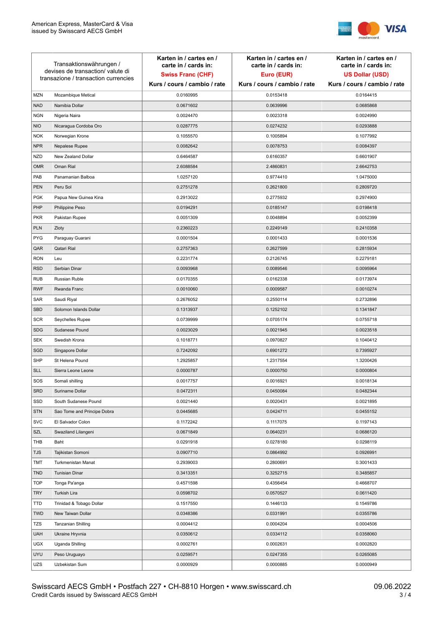

| Transaktionswährungen /<br>devises de transaction/valute di<br>transazione / transaction currencies |                             | Karten in / cartes en /<br>carte in / cards in:<br><b>Swiss Franc (CHF)</b><br>Kurs / cours / cambio / rate | Karten in / cartes en /<br>carte in / cards in:<br>Euro (EUR)<br>Kurs / cours / cambio / rate | Karten in / cartes en /<br>carte in / cards in:<br><b>US Dollar (USD)</b><br>Kurs / cours / cambio / rate |
|-----------------------------------------------------------------------------------------------------|-----------------------------|-------------------------------------------------------------------------------------------------------------|-----------------------------------------------------------------------------------------------|-----------------------------------------------------------------------------------------------------------|
|                                                                                                     |                             |                                                                                                             |                                                                                               |                                                                                                           |
| <b>MZN</b>                                                                                          | Mozambique Metical          | 0.0160995                                                                                                   | 0.0153418                                                                                     | 0.0164415                                                                                                 |
| <b>NAD</b>                                                                                          | Namibia Dollar              | 0.0671602                                                                                                   | 0.0639996                                                                                     | 0.0685868                                                                                                 |
| <b>NGN</b>                                                                                          | Nigeria Naira               | 0.0024470                                                                                                   | 0.0023318                                                                                     | 0.0024990                                                                                                 |
| <b>NIO</b>                                                                                          | Nicaragua Cordoba Oro       | 0.0287775                                                                                                   | 0.0274232                                                                                     | 0.0293888                                                                                                 |
| <b>NOK</b>                                                                                          | Norwegian Krone             | 0.1055570                                                                                                   | 0.1005894                                                                                     | 0.1077992                                                                                                 |
| <b>NPR</b>                                                                                          | Nepalese Rupee              | 0.0082642                                                                                                   | 0.0078753                                                                                     | 0.0084397                                                                                                 |
| <b>NZD</b>                                                                                          | New Zealand Dollar          | 0.6464587                                                                                                   | 0.6160357                                                                                     | 0.6601907                                                                                                 |
| <b>OMR</b>                                                                                          | Oman Rial                   | 2.6088584                                                                                                   | 2.4860831                                                                                     | 2.6642753                                                                                                 |
| PAB                                                                                                 | Panamanian Balboa           | 1.0257120                                                                                                   | 0.9774410                                                                                     | 1.0475000                                                                                                 |
| <b>PEN</b>                                                                                          | Peru Sol                    | 0.2751278                                                                                                   | 0.2621800                                                                                     | 0.2809720                                                                                                 |
| <b>PGK</b>                                                                                          | Papua New Guinea Kina       | 0.2913022                                                                                                   | 0.2775932                                                                                     | 0.2974900                                                                                                 |
| PHP                                                                                                 | Philippine Peso             | 0.0194291                                                                                                   | 0.0185147                                                                                     | 0.0198418                                                                                                 |
| <b>PKR</b>                                                                                          | Pakistan Rupee              | 0.0051309                                                                                                   | 0.0048894                                                                                     | 0.0052399                                                                                                 |
| <b>PLN</b>                                                                                          | Zloty                       | 0.2360223                                                                                                   | 0.2249149                                                                                     | 0.2410358                                                                                                 |
| <b>PYG</b>                                                                                          | Paraguay Guarani            | 0.0001504                                                                                                   | 0.0001433                                                                                     | 0.0001536                                                                                                 |
| QAR                                                                                                 | Qatari Rial                 | 0.2757363                                                                                                   | 0.2627599                                                                                     | 0.2815934                                                                                                 |
| <b>RON</b>                                                                                          | Leu                         | 0.2231774                                                                                                   | 0.2126745                                                                                     | 0.2279181                                                                                                 |
| <b>RSD</b>                                                                                          | Serbian Dinar               | 0.0093968                                                                                                   | 0.0089546                                                                                     | 0.0095964                                                                                                 |
| <b>RUB</b>                                                                                          | Russian Ruble               | 0.0170355                                                                                                   | 0.0162338                                                                                     | 0.0173974                                                                                                 |
| <b>RWF</b>                                                                                          | Rwanda Franc                | 0.0010060                                                                                                   | 0.0009587                                                                                     | 0.0010274                                                                                                 |
| SAR                                                                                                 | Saudi Riyal                 | 0.2676052                                                                                                   | 0.2550114                                                                                     | 0.2732896                                                                                                 |
| SBD                                                                                                 | Solomon Islands Dollar      | 0.1313937                                                                                                   | 0.1252102                                                                                     | 0.1341847                                                                                                 |
| <b>SCR</b>                                                                                          | Seychelles Rupee            | 0.0739999                                                                                                   | 0.0705174                                                                                     | 0.0755718                                                                                                 |
| <b>SDG</b>                                                                                          | Sudanese Pound              | 0.0023029                                                                                                   | 0.0021945                                                                                     | 0.0023518                                                                                                 |
| <b>SEK</b>                                                                                          | Swedish Krona               | 0.1018771                                                                                                   | 0.0970827                                                                                     | 0.1040412                                                                                                 |
| SGD                                                                                                 | Singapore Dollar            | 0.7242092                                                                                                   | 0.6901272                                                                                     | 0.7395927                                                                                                 |
| <b>SHP</b>                                                                                          | St Helena Pound             | 1.2925857                                                                                                   | 1.2317554                                                                                     | 1.3200426                                                                                                 |
| <b>SLL</b>                                                                                          | Sierra Leone Leone          | 0.0000787                                                                                                   | 0.0000750                                                                                     | 0.0000804                                                                                                 |
| SOS                                                                                                 | Somali shilling             | 0.0017757                                                                                                   | 0.0016921                                                                                     | 0.0018134                                                                                                 |
| SRD                                                                                                 | Suriname Dollar             | 0.0472311                                                                                                   | 0.0450084                                                                                     | 0.0482344                                                                                                 |
| SSD                                                                                                 | South Sudanese Pound        | 0.0021440                                                                                                   | 0.0020431                                                                                     | 0.0021895                                                                                                 |
| <b>STN</b>                                                                                          | Sao Tome and Principe Dobra | 0.0445685                                                                                                   | 0.0424711                                                                                     | 0.0455152                                                                                                 |
| <b>SVC</b>                                                                                          | El Salvador Colon           | 0.1172242                                                                                                   | 0.1117075                                                                                     | 0.1197143                                                                                                 |
| SZL                                                                                                 | Swaziland Lilangeni         | 0.0671849                                                                                                   | 0.0640231                                                                                     | 0.0686120                                                                                                 |
| THB                                                                                                 | Baht                        | 0.0291918                                                                                                   | 0.0278180                                                                                     | 0.0298119                                                                                                 |
| <b>TJS</b>                                                                                          | Tajikistan Somoni           | 0.0907710                                                                                                   | 0.0864992                                                                                     | 0.0926991                                                                                                 |
| <b>TMT</b>                                                                                          | Turkmenistan Manat          | 0.2939003                                                                                                   | 0.2800691                                                                                     | 0.3001433                                                                                                 |
| <b>TND</b>                                                                                          | <b>Tunisian Dinar</b>       | 0.3413351                                                                                                   | 0.3252715                                                                                     | 0.3485857                                                                                                 |
| <b>TOP</b>                                                                                          | Tonga Pa'anga               | 0.4571598                                                                                                   | 0.4356454                                                                                     | 0.4668707                                                                                                 |
| <b>TRY</b>                                                                                          | Turkish Lira                | 0.0598702                                                                                                   | 0.0570527                                                                                     | 0.0611420                                                                                                 |
| TTD                                                                                                 | Trinidad & Tobago Dollar    | 0.1517550                                                                                                   | 0.1446133                                                                                     | 0.1549786                                                                                                 |
| <b>TWD</b>                                                                                          | New Taiwan Dollar           | 0.0348386                                                                                                   | 0.0331991                                                                                     | 0.0355786                                                                                                 |
| <b>TZS</b>                                                                                          | Tanzanian Shilling          | 0.0004412                                                                                                   | 0.0004204                                                                                     | 0.0004506                                                                                                 |
| <b>UAH</b>                                                                                          | Ukraine Hryvnia             | 0.0350612                                                                                                   | 0.0334112                                                                                     | 0.0358060                                                                                                 |
| <b>UGX</b>                                                                                          | Uganda Shilling             | 0.0002761                                                                                                   | 0.0002631                                                                                     | 0.0002820                                                                                                 |
| <b>UYU</b>                                                                                          | Peso Uruguayo               | 0.0259571                                                                                                   | 0.0247355                                                                                     | 0.0265085                                                                                                 |
| UZS                                                                                                 | Uzbekistan Sum              | 0.0000929                                                                                                   | 0.0000885                                                                                     | 0.0000949                                                                                                 |